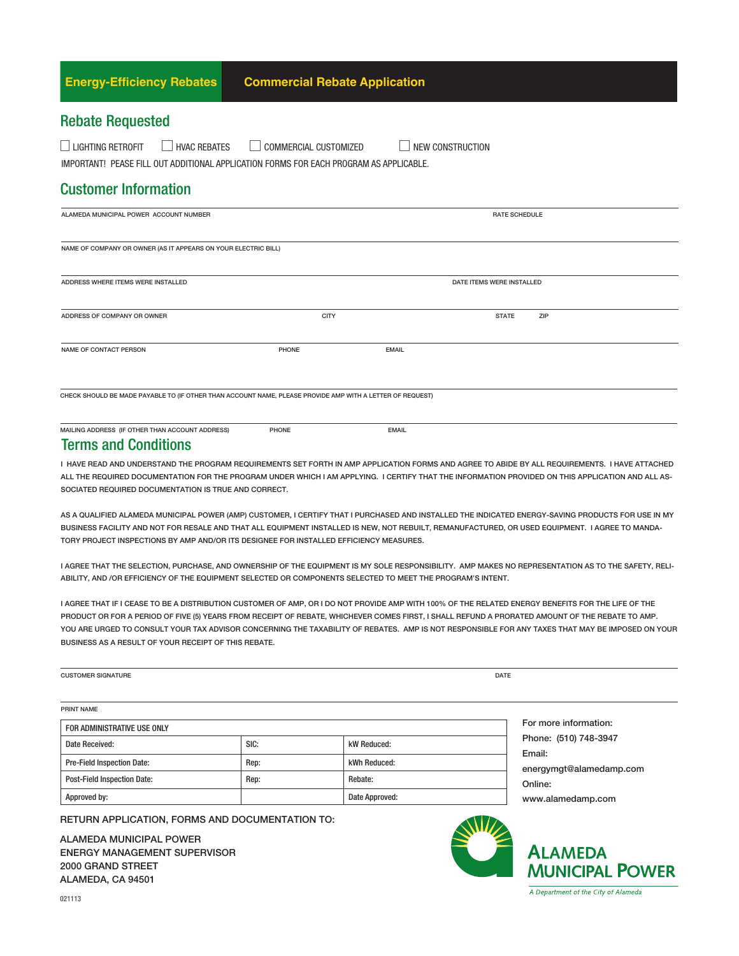| <b>Energy-Efficiency Rebates</b>                                                                                                          | <b>Commercial Rebate Application</b>  |                           |  |
|-------------------------------------------------------------------------------------------------------------------------------------------|---------------------------------------|---------------------------|--|
| <b>Rebate Requested</b>                                                                                                                   |                                       |                           |  |
| $\Box$ LIGHTING RETROFIT<br>$\Box$ HVAC REBATES<br>IMPORTANT! PEASE FILL OUT ADDITIONAL APPLICATION FORMS FOR EACH PROGRAM AS APPLICABLE. | COMMERCIAL CUSTOMIZED<br>$\mathbf{L}$ | <b>NEW CONSTRUCTION</b>   |  |
| <b>Customer Information</b>                                                                                                               |                                       |                           |  |
| ALAMEDA MUNICIPAL POWER ACCOUNT NUMBER                                                                                                    |                                       | <b>RATE SCHEDULE</b>      |  |
| NAME OF COMPANY OR OWNER (AS IT APPEARS ON YOUR ELECTRIC BILL)                                                                            |                                       |                           |  |
| ADDRESS WHERE ITEMS WERE INSTALLED                                                                                                        |                                       | DATE ITEMS WERE INSTALLED |  |
| ADDRESS OF COMPANY OR OWNER                                                                                                               | CITY                                  | ZIP<br><b>STATE</b>       |  |
| <b>NAME OF CONTACT PERSON</b>                                                                                                             | PHONE                                 | <b>EMAIL</b>              |  |

CHECK SHOULD BE MADE PAYABLE TO (IF OTHER THAN ACCOUNT NAME, PLEASE PROVIDE AMP WITH A LETTER OF REQUEST)

#### Terms and Conditions

I HAVE READ AND UNDERSTAND THE PROGRAM REQUIREMENTS SET FORTH IN AMP APPLICATION FORMS AND AGREE TO ABIDE BY ALL REQUIREMENTS. I HAVE ATTACHED ALL THE REQUIRED DOCUMENTATION FOR THE PROGRAM UNDER WHICH I AM APPLYING. I CERTIFY THAT THE INFORMATION PROVIDED ON THIS APPLICATION AND ALL AS-SOCIATED REQUIRED DOCUMENTATION IS TRUE AND CORRECT.

AS A QUALIFIED ALAMEDA MUNICIPAL POWER (AMP) CUSTOMER, I CERTIFY THAT I PURCHASED AND INSTALLED THE INDICATED ENERGY-SAVING PRODUCTS FOR USE IN MY BUSINESS FACILITY AND NOT FOR RESALE AND THAT ALL EQUIPMENT INSTALLED IS NEW, NOT REBUILT, REMANUFACTURED, OR USED EQUIPMENT. I AGREE TO MANDA-TORY PROJECT INSPECTIONS BY AMP AND/OR ITS DESIGNEE FOR INSTALLED EFFICIENCY MEASURES.

I AGREE THAT THE SELECTION, PURCHASE, AND OWNERSHIP OF THE EQUIPMENT IS MY SOLE RESPONSIBILITY. AMP MAKES NO REPRESENTATION AS TO THE SAFETY, RELI-ABILITY, AND /OR EFFICIENCY OF THE EQUIPMENT SELECTED OR COMPONENTS SELECTED TO MEET THE PROGRAM'S INTENT.

I AGREE THAT IF I CEASE TO BE A DISTRIBUTION CUSTOMER OF AMP, OR I DO NOT PROVIDE AMP WITH 100% OF THE RELATED ENERGY BENEFITS FOR THE LIFE OF THE PRODUCT OR FOR A PERIOD OF FIVE (5) YEARS FROM RECEIPT OF REBATE, WHICHEVER COMES FIRST, I SHALL REFUND A PRORATED AMOUNT OF THE REBATE TO AMP. YOU ARE URGED TO CONSULT YOUR TAX ADVISOR CONCERNING THE TAXABILITY OF REBATES. AMP IS NOT RESPONSIBLE FOR ANY TAXES THAT MAY BE IMPOSED ON YOUR BUSINESS AS A RESULT OF YOUR RECEIPT OF THIS REBATE.

| <b>CUSTOMER SIGNATURE</b> | DATE |
|---------------------------|------|
|                           |      |
|                           |      |

PRINT NAME

| FOR ADMINISTRATIVE USE ONLY        |      |                |  |  |
|------------------------------------|------|----------------|--|--|
| Date Received:                     | SIC: | kW Reduced:    |  |  |
| <b>Pre-Field Inspection Date:</b>  | Rep: | kWh Reduced:   |  |  |
| <b>Post-Field Inspection Date:</b> | Rep: | Rebate:        |  |  |
| Approved by:                       |      | Date Approved: |  |  |

For more information: Phone: (510) 748-3947 Email: energymgt@alamedamp.com Online: www.alamedamp.com

RETURN APPLICATION, FORMS AND DOCUMENTATION TO:

ALAMEDA MUNICIPAL POWER ENERGY MANAGEMENT SUPERVISOR 2000 GRAND STREET ALAMEDA, CA 94501



# **ALAMEDA MUNICIPAL POWER**

A Department of the City of Alameda